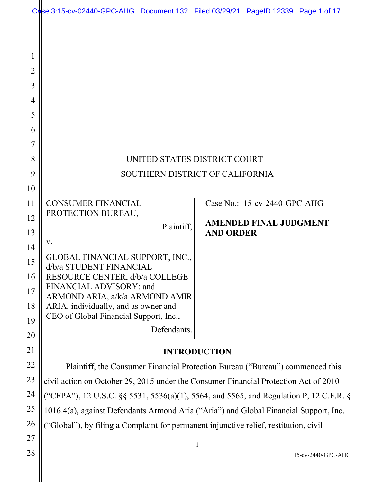|                                                                                                       | Case 3:15-cv-02440-GPC-AHG Document 132 Filed 03/29/21 PageID.12339 Page 1 of 17                                                                                                                                                                                                                                                                                                      |                                                                                        |                                                               |                    |  |  |  |
|-------------------------------------------------------------------------------------------------------|---------------------------------------------------------------------------------------------------------------------------------------------------------------------------------------------------------------------------------------------------------------------------------------------------------------------------------------------------------------------------------------|----------------------------------------------------------------------------------------|---------------------------------------------------------------|--------------------|--|--|--|
| 1<br>2<br>3<br>4<br>5<br>6<br>7<br>8<br>9<br>10<br>11<br>12<br>13<br>14<br>15<br>16<br>17<br>18<br>19 | UNITED STATES DISTRICT COURT<br>SOUTHERN DISTRICT OF CALIFORNIA<br><b>CONSUMER FINANCIAL</b><br>PROTECTION BUREAU,<br>Plaintiff,<br>V.<br>GLOBAL FINANCIAL SUPPORT, INC.,<br>d/b/a STUDENT FINANCIAL<br>RESOURCE CENTER, d/b/a COLLEGE<br>FINANCIAL ADVISORY; and<br>ARMOND ARIA, a/k/a ARMOND AMIR<br>ARIA, individually, and as owner and<br>CEO of Global Financial Support, Inc., | <b>AND ORDER</b>                                                                       | Case No.: 15-cv-2440-GPC-AHG<br><b>AMENDED FINAL JUDGMENT</b> |                    |  |  |  |
| 20                                                                                                    | Defendants.                                                                                                                                                                                                                                                                                                                                                                           |                                                                                        |                                                               |                    |  |  |  |
| 21                                                                                                    | <b>INTRODUCTION</b>                                                                                                                                                                                                                                                                                                                                                                   |                                                                                        |                                                               |                    |  |  |  |
| 22                                                                                                    | Plaintiff, the Consumer Financial Protection Bureau ("Bureau") commenced this                                                                                                                                                                                                                                                                                                         |                                                                                        |                                                               |                    |  |  |  |
| 23                                                                                                    | civil action on October 29, 2015 under the Consumer Financial Protection Act of 2010                                                                                                                                                                                                                                                                                                  |                                                                                        |                                                               |                    |  |  |  |
| 24                                                                                                    |                                                                                                                                                                                                                                                                                                                                                                                       | ("CFPA"), 12 U.S.C. §§ 5531, 5536(a)(1), 5564, and 5565, and Regulation P, 12 C.F.R. § |                                                               |                    |  |  |  |
| 25                                                                                                    | 1016.4(a), against Defendants Armond Aria ("Aria") and Global Financial Support, Inc.                                                                                                                                                                                                                                                                                                 |                                                                                        |                                                               |                    |  |  |  |
| 26                                                                                                    | ("Global"), by filing a Complaint for permanent injunctive relief, restitution, civil                                                                                                                                                                                                                                                                                                 |                                                                                        |                                                               |                    |  |  |  |
| 27                                                                                                    |                                                                                                                                                                                                                                                                                                                                                                                       | $\mathbf{1}$                                                                           |                                                               |                    |  |  |  |
| 28                                                                                                    |                                                                                                                                                                                                                                                                                                                                                                                       |                                                                                        |                                                               | 15-cv-2440-GPC-AHG |  |  |  |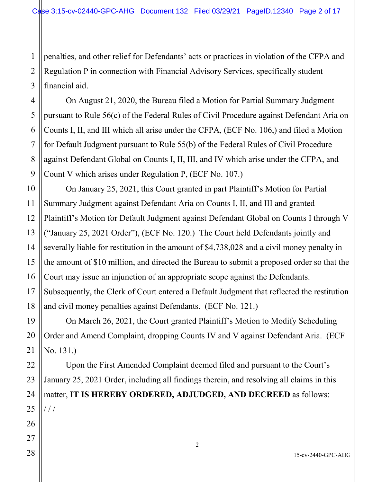1 2 penalties, and other relief for Defendants' acts or practices in violation of the CFPA and Regulation P in connection with Financial Advisory Services, specifically student financial aid.

On August 21, 2020, the Bureau filed a Motion for Partial Summary Judgment pursuant to Rule 56(c) of the Federal Rules of Civil Procedure against Defendant Aria on Counts I, II, and III which all arise under the CFPA, (ECF No. 106,) and filed a Motion for Default Judgment pursuant to Rule 55(b) of the Federal Rules of Civil Procedure against Defendant Global on Counts I, II, III, and IV which arise under the CFPA, and Count V which arises under Regulation P, (ECF No. 107.)

On January 25, 2021, this Court granted in part Plaintiff's Motion for Partial Summary Judgment against Defendant Aria on Counts I, II, and III and granted Plaintiff's Motion for Default Judgment against Defendant Global on Counts I through V ("January 25, 2021 Order"), (ECF No. 120.) The Court held Defendants jointly and severally liable for restitution in the amount of \$4,738,028 and a civil money penalty in the amount of \$10 million, and directed the Bureau to submit a proposed order so that the Court may issue an injunction of an appropriate scope against the Defendants. Subsequently, the Clerk of Court entered a Default Judgment that reflected the restitution and civil money penalties against Defendants. (ECF No. 121.)

On March 26, 2021, the Court granted Plaintiff's Motion to Modify Scheduling Order and Amend Complaint, dropping Counts IV and V against Defendant Aria. (ECF No. 131.)

Upon the First Amended Complaint deemed filed and pursuant to the Court's January 25, 2021 Order, including all findings therein, and resolving all claims in this matter, **IT IS HEREBY ORDERED, ADJUDGED, AND DECREED** as follows:  $/$   $/$ 

15-cv-2440-GPC-AHG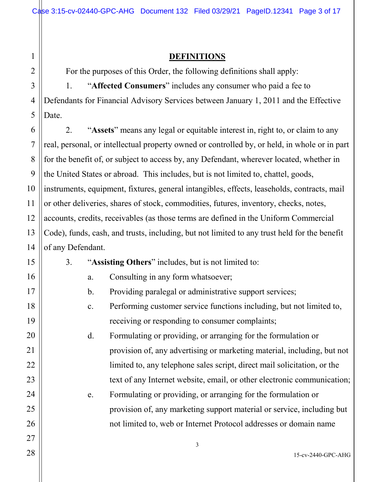#### **DEFINITIONS**

For the purposes of this Order, the following definitions shall apply:

1. "**Affected Consumers**" includes any consumer who paid a fee to Defendants for Financial Advisory Services between January 1, 2011 and the Effective Date.

2. "**Assets**" means any legal or equitable interest in, right to, or claim to any real, personal, or intellectual property owned or controlled by, or held, in whole or in part for the benefit of, or subject to access by, any Defendant, wherever located, whether in the United States or abroad. This includes, but is not limited to, chattel, goods, instruments, equipment, fixtures, general intangibles, effects, leaseholds, contracts, mail or other deliveries, shares of stock, commodities, futures, inventory, checks, notes, accounts, credits, receivables (as those terms are defined in the Uniform Commercial Code), funds, cash, and trusts, including, but not limited to any trust held for the benefit of any Defendant.

3. "**Assisting Others**" includes, but is not limited to:

- a. Consulting in any form whatsoever;
- b. Providing paralegal or administrative support services;
- c. Performing customer service functions including, but not limited to, receiving or responding to consumer complaints;

d. Formulating or providing, or arranging for the formulation or provision of, any advertising or marketing material, including, but not limited to, any telephone sales script, direct mail solicitation, or the text of any Internet website, email, or other electronic communication;

e. Formulating or providing, or arranging for the formulation or provision of, any marketing support material or service, including but not limited to, web or Internet Protocol addresses or domain name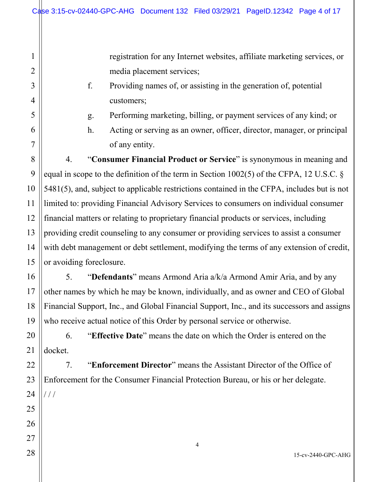registration for any Internet websites, affiliate marketing services, or media placement services;

- f. Providing names of, or assisting in the generation of, potential customers;
- g. Performing marketing, billing, or payment services of any kind; or
- h. Acting or serving as an owner, officer, director, manager, or principal of any entity.

4. "**Consumer Financial Product or Service**" is synonymous in meaning and equal in scope to the definition of the term in Section 1002(5) of the CFPA, 12 U.S.C. § 5481(5), and, subject to applicable restrictions contained in the CFPA, includes but is not limited to: providing Financial Advisory Services to consumers on individual consumer financial matters or relating to proprietary financial products or services, including providing credit counseling to any consumer or providing services to assist a consumer with debt management or debt settlement, modifying the terms of any extension of credit, or avoiding foreclosure.

5. "**Defendants**" means Armond Aria a/k/a Armond Amir Aria, and by any other names by which he may be known, individually, and as owner and CEO of Global Financial Support, Inc., and Global Financial Support, Inc., and its successors and assigns who receive actual notice of this Order by personal service or otherwise.

6. "**Effective Date**" means the date on which the Order is entered on the docket.

7. "**Enforcement Director**" means the Assistant Director of the Office of Enforcement for the Consumer Financial Protection Bureau, or his or her delegate.  $///$ 

1

2

3

4

5

6

7

8

9

10

11

12

13

14

15

16

17

18

19

20

21

22

23

24

25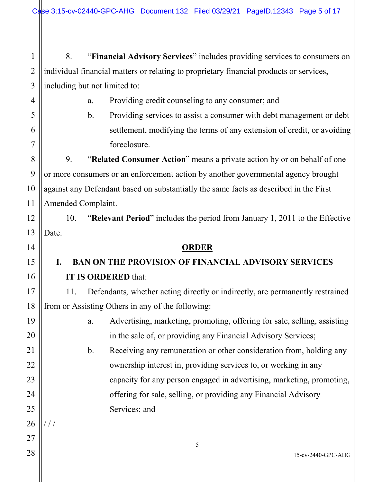1 2 3 8. "**Financial Advisory Services**" includes providing services to consumers on individual financial matters or relating to proprietary financial products or services, including but not limited to:

4

5

6

7

8

9

10

11

12

13

14

15

16

17

18

19

20

21

22

23

24

25

a. Providing credit counseling to any consumer; and

b. Providing services to assist a consumer with debt management or debt settlement, modifying the terms of any extension of credit, or avoiding foreclosure.

9. "**Related Consumer Action**" means a private action by or on behalf of one or more consumers or an enforcement action by another governmental agency brought against any Defendant based on substantially the same facts as described in the First Amended Complaint.

10. "**Relevant Period**" includes the period from January 1, 2011 to the Effective Date.

### **ORDER**

## **I. BAN ON THE PROVISION OF FINANCIAL ADVISORY SERVICES IT IS ORDERED** that:

11. Defendants*,* whether acting directly or indirectly, are permanently restrained from or Assisting Others in any of the following:

> a. Advertising, marketing, promoting, offering for sale, selling, assisting in the sale of, or providing any Financial Advisory Services;

b. Receiving any remuneration or other consideration from, holding any ownership interest in, providing services to, or working in any capacity for any person engaged in advertising, marketing, promoting, offering for sale, selling, or providing any Financial Advisory Services; and

26 27

/ / /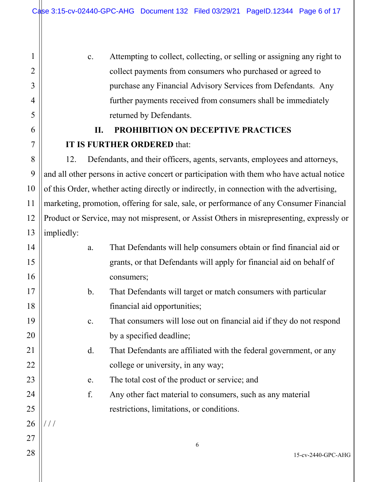1

2

3

4

5

6

7

8

9

10

11

12

13

c. Attempting to collect, collecting, or selling or assigning any right to collect payments from consumers who purchased or agreed to purchase any Financial Advisory Services from Defendants. Any further payments received from consumers shall be immediately returned by Defendants.

## **II. PROHIBITION ON DECEPTIVE PRACTICES IT IS FURTHER ORDERED** that:

12. Defendants, and their officers, agents, servants, employees and attorneys, and all other persons in active concert or participation with them who have actual notice of this Order, whether acting directly or indirectly, in connection with the advertising, marketing, promotion, offering for sale, sale, or performance of any Consumer Financial Product or Service, may not mispresent, or Assist Others in misrepresenting, expressly or impliedly:

| 14 | a.             | That Defendants will help consumers obtain or find financial aid or  |
|----|----------------|----------------------------------------------------------------------|
| 15 |                | grants, or that Defendants will apply for financial aid on behalf of |
| 16 |                | consumers;                                                           |
| 17 | $\mathbf b$ .  | That Defendants will target or match consumers with particular       |
| 18 |                | financial aid opportunities;                                         |
| 19 | $\mathbf{C}$ . | That consumers will lose out on financial aid if they do not respond |
| 20 |                | by a specified deadline;                                             |
| 21 | d.             | That Defendants are affiliated with the federal government, or any   |
| 22 |                | college or university, in any way;                                   |
| 23 | e.             | The total cost of the product or service; and                        |
| 24 | f.             | Any other fact material to consumers, such as any material           |
| 25 |                | restrictions, limitations, or conditions.                            |
| 26 |                |                                                                      |
| 27 |                | 6                                                                    |
| 28 |                | 15-cv-2440-GPC-AHG                                                   |
|    |                |                                                                      |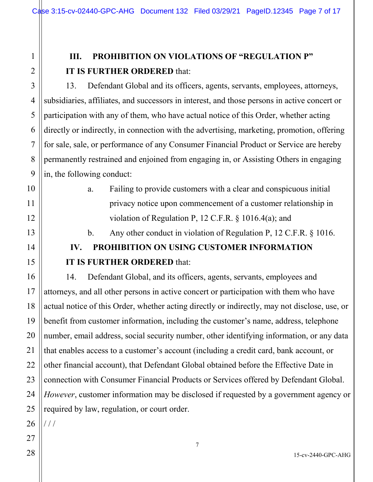## **III. PROHIBITION ON VIOLATIONS OF "REGULATION P" IT IS FURTHER ORDERED** that:

13. Defendant Global and its officers, agents, servants, employees, attorneys, subsidiaries, affiliates, and successors in interest, and those persons in active concert or participation with any of them, who have actual notice of this Order, whether acting directly or indirectly, in connection with the advertising, marketing, promotion, offering for sale, sale, or performance of any Consumer Financial Product or Service are hereby permanently restrained and enjoined from engaging in, or Assisting Others in engaging in, the following conduct:

> a. Failing to provide customers with a clear and conspicuous initial privacy notice upon commencement of a customer relationship in violation of Regulation P, 12 C.F.R. § 1016.4(a); and

> b. Any other conduct in violation of Regulation P, 12 C.F.R. § 1016.

# **IV. PROHIBITION ON USING CUSTOMER INFORMATION IT IS FURTHER ORDERED** that:

14. Defendant Global, and its officers, agents, servants, employees and attorneys, and all other persons in active concert or participation with them who have actual notice of this Order, whether acting directly or indirectly, may not disclose, use, or benefit from customer information, including the customer's name, address, telephone number, email address, social security number, other identifying information, or any data that enables access to a customer's account (including a credit card, bank account, or other financial account), that Defendant Global obtained before the Effective Date in connection with Consumer Financial Products or Services offered by Defendant Global. *However*, customer information may be disclosed if requested by a government agency or required by law, regulation, or court order.

26

/ / /

1

2

3

4

5

6

7

8

9

10

11

12

13

14

15

16

17

18

19

20

21

22

23

24

25

28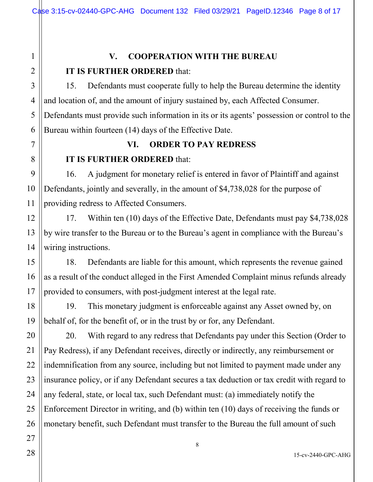### **V. COOPERATION WITH THE BUREAU**

### **IT IS FURTHER ORDERED** that:

15. Defendants must cooperate fully to help the Bureau determine the identity and location of, and the amount of injury sustained by, each Affected Consumer. Defendants must provide such information in its or its agents' possession or control to the Bureau within fourteen (14) days of the Effective Date.

### **VI. ORDER TO PAY REDRESS**

### **IT IS FURTHER ORDERED** that:

16. A judgment for monetary relief is entered in favor of Plaintiff and against Defendants, jointly and severally, in the amount of \$4,738,028 for the purpose of providing redress to Affected Consumers.

17. Within ten (10) days of the Effective Date, Defendants must pay \$4,738,028 by wire transfer to the Bureau or to the Bureau's agent in compliance with the Bureau's wiring instructions.

18. Defendants are liable for this amount, which represents the revenue gained as a result of the conduct alleged in the First Amended Complaint minus refunds already provided to consumers, with post-judgment interest at the legal rate.

19. This monetary judgment is enforceable against any Asset owned by, on behalf of, for the benefit of, or in the trust by or for, any Defendant.

20. With regard to any redress that Defendants pay under this Section (Order to Pay Redress), if any Defendant receives, directly or indirectly, any reimbursement or indemnification from any source, including but not limited to payment made under any insurance policy, or if any Defendant secures a tax deduction or tax credit with regard to any federal, state, or local tax, such Defendant must: (a) immediately notify the Enforcement Director in writing, and (b) within ten (10) days of receiving the funds or monetary benefit, such Defendant must transfer to the Bureau the full amount of such

1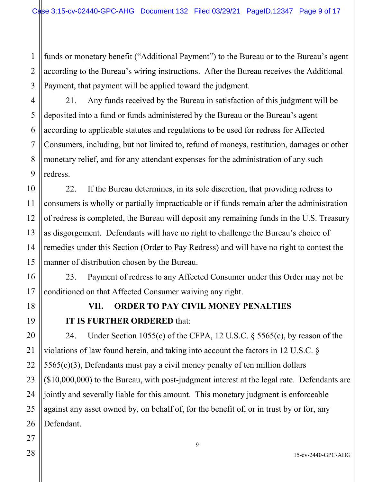1 2 3 funds or monetary benefit ("Additional Payment") to the Bureau or to the Bureau's agent according to the Bureau's wiring instructions. After the Bureau receives the Additional Payment, that payment will be applied toward the judgment.

21. Any funds received by the Bureau in satisfaction of this judgment will be deposited into a fund or funds administered by the Bureau or the Bureau's agent according to applicable statutes and regulations to be used for redress for Affected Consumers, including, but not limited to, refund of moneys, restitution, damages or other monetary relief, and for any attendant expenses for the administration of any such redress.

22. If the Bureau determines, in its sole discretion, that providing redress to consumers is wholly or partially impracticable or if funds remain after the administration of redress is completed, the Bureau will deposit any remaining funds in the U.S. Treasury as disgorgement. Defendants will have no right to challenge the Bureau's choice of remedies under this Section (Order to Pay Redress) and will have no right to contest the manner of distribution chosen by the Bureau.

23. Payment of redress to any Affected Consumer under this Order may not be conditioned on that Affected Consumer waiving any right.

4

5

6

7

8

9

10

11

12

13

14

15

16

17

18

19

20

21

22

23

24

## **VII. ORDER TO PAY CIVIL MONEY PENALTIES IT IS FURTHER ORDERED** that:

24. Under Section 1055(c) of the CFPA, 12 U.S.C. § 5565(c), by reason of the violations of law found herein, and taking into account the factors in 12 U.S.C. §  $5565(c)(3)$ , Defendants must pay a civil money penalty of ten million dollars (\$10,000,000) to the Bureau, with post-judgment interest at the legal rate. Defendants are jointly and severally liable for this amount. This monetary judgment is enforceable against any asset owned by, on behalf of, for the benefit of, or in trust by or for, any Defendant.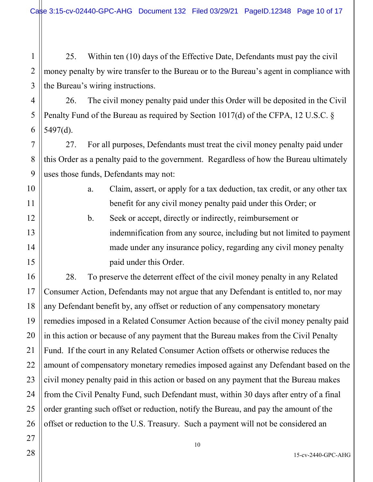1 2 3 25. Within ten (10) days of the Effective Date, Defendants must pay the civil money penalty by wire transfer to the Bureau or to the Bureau's agent in compliance with the Bureau's wiring instructions.

26. The civil money penalty paid under this Order will be deposited in the Civil Penalty Fund of the Bureau as required by Section 1017(d) of the CFPA, 12 U.S.C. § 5497(d).

27. For all purposes, Defendants must treat the civil money penalty paid under this Order as a penalty paid to the government. Regardless of how the Bureau ultimately uses those funds, Defendants may not:

- a. Claim, assert, or apply for a tax deduction, tax credit, or any other tax benefit for any civil money penalty paid under this Order; or
- b. Seek or accept, directly or indirectly, reimbursement or indemnification from any source, including but not limited to payment made under any insurance policy, regarding any civil money penalty paid under this Order.

28. To preserve the deterrent effect of the civil money penalty in any Related Consumer Action, Defendants may not argue that any Defendant is entitled to, nor may any Defendant benefit by, any offset or reduction of any compensatory monetary remedies imposed in a Related Consumer Action because of the civil money penalty paid in this action or because of any payment that the Bureau makes from the Civil Penalty Fund. If the court in any Related Consumer Action offsets or otherwise reduces the amount of compensatory monetary remedies imposed against any Defendant based on the civil money penalty paid in this action or based on any payment that the Bureau makes from the Civil Penalty Fund, such Defendant must, within 30 days after entry of a final order granting such offset or reduction, notify the Bureau, and pay the amount of the offset or reduction to the U.S. Treasury. Such a payment will not be considered an

4

5

6

7

8

9

10

11

12

13

14

15

16

17

18

19

20

21

22

23

24

25

26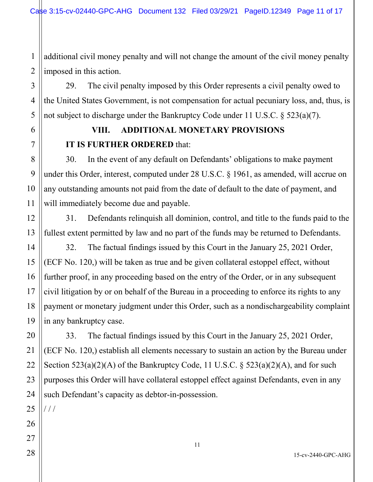1 2 additional civil money penalty and will not change the amount of the civil money penalty imposed in this action.

29. The civil penalty imposed by this Order represents a civil penalty owed to the United States Government, is not compensation for actual pecuniary loss, and, thus, is not subject to discharge under the Bankruptcy Code under 11 U.S.C. § 523(a)(7).

## **VIII. ADDITIONAL MONETARY PROVISIONS IT IS FURTHER ORDERED** that:

30. In the event of any default on Defendants' obligations to make payment under this Order, interest, computed under 28 U.S.C. § 1961, as amended, will accrue on any outstanding amounts not paid from the date of default to the date of payment, and will immediately become due and payable.

31. Defendants relinquish all dominion, control, and title to the funds paid to the fullest extent permitted by law and no part of the funds may be returned to Defendants.

32. The factual findings issued by this Court in the January 25, 2021 Order, (ECF No. 120,) will be taken as true and be given collateral estoppel effect, without further proof, in any proceeding based on the entry of the Order, or in any subsequent civil litigation by or on behalf of the Bureau in a proceeding to enforce its rights to any payment or monetary judgment under this Order, such as a nondischargeability complaint in any bankruptcy case.

33. The factual findings issued by this Court in the January 25, 2021 Order, (ECF No. 120,) establish all elements necessary to sustain an action by the Bureau under Section  $523(a)(2)(A)$  of the Bankruptcy Code, 11 U.S.C. §  $523(a)(2)(A)$ , and for such purposes this Order will have collateral estoppel effect against Defendants, even in any such Defendant's capacity as debtor-in-possession.

 $///$ 

3

4

5

6

7

8

9

10

11

12

13

14

15

16

17

18

19

20

15-cv-2440-GPC-AHG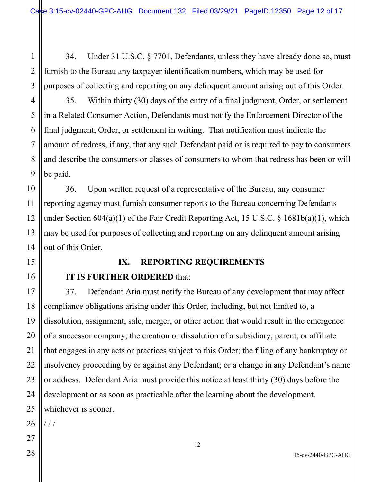34. Under 31 U.S.C. § 7701, Defendants, unless they have already done so, must furnish to the Bureau any taxpayer identification numbers, which may be used for purposes of collecting and reporting on any delinquent amount arising out of this Order.

35. Within thirty (30) days of the entry of a final judgment, Order, or settlement in a Related Consumer Action, Defendants must notify the Enforcement Director of the final judgment, Order, or settlement in writing. That notification must indicate the amount of redress, if any, that any such Defendant paid or is required to pay to consumers and describe the consumers or classes of consumers to whom that redress has been or will be paid.

36. Upon written request of a representative of the Bureau, any consumer reporting agency must furnish consumer reports to the Bureau concerning Defendants under Section 604(a)(1) of the Fair Credit Reporting Act, 15 U.S.C. § 1681b(a)(1), which may be used for purposes of collecting and reporting on any delinquent amount arising out of this Order.

### **IX. REPORTING REQUIREMENTS**

### **IT IS FURTHER ORDERED** that:

37. Defendant Aria must notify the Bureau of any development that may affect compliance obligations arising under this Order, including, but not limited to, a dissolution, assignment, sale, merger, or other action that would result in the emergence of a successor company; the creation or dissolution of a subsidiary, parent, or affiliate that engages in any acts or practices subject to this Order; the filing of any bankruptcy or insolvency proceeding by or against any Defendant; or a change in any Defendant's name or address. Defendant Aria must provide this notice at least thirty (30) days before the development or as soon as practicable after the learning about the development, whichever is sooner.

26 / / /

1

2

3

4

5

6

7

8

9

10

11

12

13

14

15

16

17

18

19

20

21

22

23

24

25

28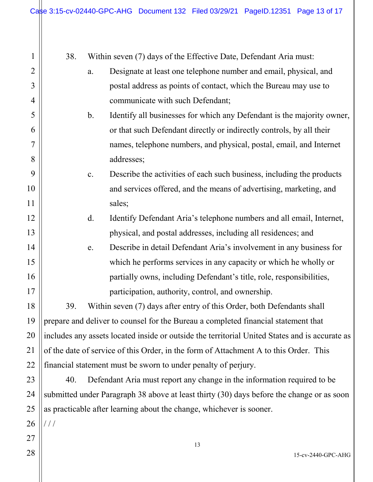| 1              | 38.<br>Within seven (7) days of the Effective Date, Defendant Aria must:                       |               |                                                                         |  |  |
|----------------|------------------------------------------------------------------------------------------------|---------------|-------------------------------------------------------------------------|--|--|
| $\overline{2}$ | Designate at least one telephone number and email, physical, and<br>a.                         |               |                                                                         |  |  |
| 3              |                                                                                                |               | postal address as points of contact, which the Bureau may use to        |  |  |
| 4              |                                                                                                |               | communicate with such Defendant;                                        |  |  |
| 5              |                                                                                                | $\mathbf b$ . | Identify all businesses for which any Defendant is the majority owner,  |  |  |
| 6              |                                                                                                |               | or that such Defendant directly or indirectly controls, by all their    |  |  |
| 7              |                                                                                                |               | names, telephone numbers, and physical, postal, email, and Internet     |  |  |
| 8              |                                                                                                |               | addresses;                                                              |  |  |
| 9              |                                                                                                | c.            | Describe the activities of each such business, including the products   |  |  |
| 10             |                                                                                                |               | and services offered, and the means of advertising, marketing, and      |  |  |
| 11             |                                                                                                |               | sales;                                                                  |  |  |
| 12             |                                                                                                | d.            | Identify Defendant Aria's telephone numbers and all email, Internet,    |  |  |
| 13             |                                                                                                |               | physical, and postal addresses, including all residences; and           |  |  |
| 14             |                                                                                                | e.            | Describe in detail Defendant Aria's involvement in any business for     |  |  |
| 15             |                                                                                                |               | which he performs services in any capacity or which he wholly or        |  |  |
| 16             |                                                                                                |               | partially owns, including Defendant's title, role, responsibilities,    |  |  |
| 17             |                                                                                                |               | participation, authority, control, and ownership.                       |  |  |
| 18             | 39.                                                                                            |               | Within seven (7) days after entry of this Order, both Defendants shall  |  |  |
| 19             | prepare and deliver to counsel for the Bureau a completed financial statement that             |               |                                                                         |  |  |
| 20             | includes any assets located inside or outside the territorial United States and is accurate as |               |                                                                         |  |  |
| 21             | of the date of service of this Order, in the form of Attachment A to this Order. This          |               |                                                                         |  |  |
| 22             | financial statement must be sworn to under penalty of perjury.                                 |               |                                                                         |  |  |
| 23             | 40.                                                                                            |               | Defendant Aria must report any change in the information required to be |  |  |
| 24             | submitted under Paragraph 38 above at least thirty (30) days before the change or as soon      |               |                                                                         |  |  |
| 25             | as practicable after learning about the change, whichever is sooner.                           |               |                                                                         |  |  |
| 26             | ///                                                                                            |               |                                                                         |  |  |
| 27             |                                                                                                |               | 13                                                                      |  |  |
| 28             |                                                                                                |               | 15-cv-2440-GPC-AHG                                                      |  |  |
|                |                                                                                                |               |                                                                         |  |  |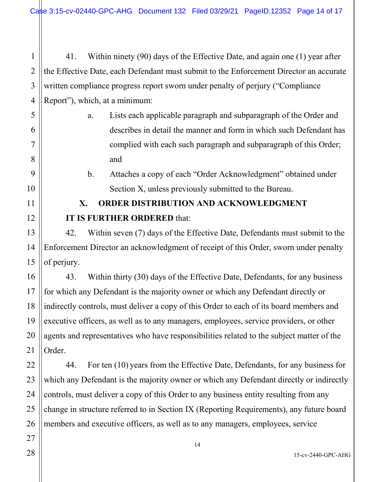2 3 4 41. Within ninety (90) days of the Effective Date, and again one (1) year after the Effective Date, each Defendant must submit to the Enforcement Director an accurate written compliance progress report sworn under penalty of perjury ("Compliance Report"), which, at a minimum:

> a. Lists each applicable paragraph and subparagraph of the Order and describes in detail the manner and form in which such Defendant has complied with each such paragraph and subparagraph of this Order; and

b. Attaches a copy of each "Order Acknowledgment" obtained under Section X, unless previously submitted to the Bureau.

# **X. ORDER DISTRIBUTION AND ACKNOWLEDGMENT IT IS FURTHER ORDERED** that:

42. Within seven (7) days of the Effective Date, Defendants must submit to the Enforcement Director an acknowledgment of receipt of this Order, sworn under penalty of perjury.

43. Within thirty (30) days of the Effective Date, Defendants, for any business for which any Defendant is the majority owner or which any Defendant directly or indirectly controls, must deliver a copy of this Order to each of its board members and executive officers, as well as to any managers, employees, service providers, or other agents and representatives who have responsibilities related to the subject matter of the Order.

44. For ten (10) years from the Effective Date, Defendants, for any business for which any Defendant is the majority owner or which any Defendant directly or indirectly controls, must deliver a copy of this Order to any business entity resulting from any change in structure referred to in Section IX (Reporting Requirements), any future board members and executive officers, as well as to any managers, employees, service

1

5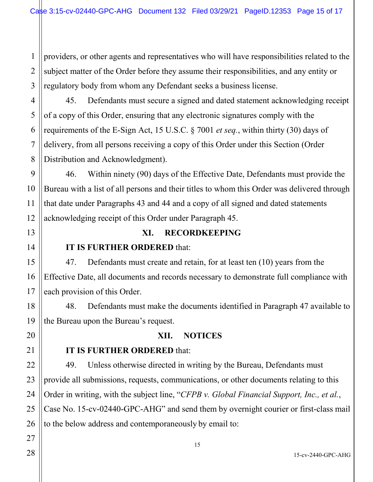1 2 3 providers, or other agents and representatives who will have responsibilities related to the subject matter of the Order before they assume their responsibilities, and any entity or regulatory body from whom any Defendant seeks a business license.

4 45. Defendants must secure a signed and dated statement acknowledging receipt of a copy of this Order, ensuring that any electronic signatures comply with the requirements of the E-Sign Act, 15 U.S.C. § 7001 *et seq.*, within thirty (30) days of delivery, from all persons receiving a copy of this Order under this Section (Order Distribution and Acknowledgment).

46. Within ninety (90) days of the Effective Date, Defendants must provide the Bureau with a list of all persons and their titles to whom this Order was delivered through that date under Paragraphs 43 and 44 and a copy of all signed and dated statements acknowledging receipt of this Order under Paragraph 45.

#### **XI. RECORDKEEPING**

### **IT IS FURTHER ORDERED** that:

47. Defendants must create and retain, for at least ten (10) years from the Effective Date, all documents and records necessary to demonstrate full compliance with each provision of this Order.

48. Defendants must make the documents identified in Paragraph 47 available to the Bureau upon the Bureau's request.

### **XII. NOTICES**

### **IT IS FURTHER ORDERED** that:

49. Unless otherwise directed in writing by the Bureau, Defendants must provide all submissions, requests, communications, or other documents relating to this Order in writing, with the subject line, "*CFPB v. Global Financial Support, Inc., et al.*, Case No. 15-cv-02440-GPC-AHG" and send them by overnight courier or first-class mail to the below address and contemporaneously by email to: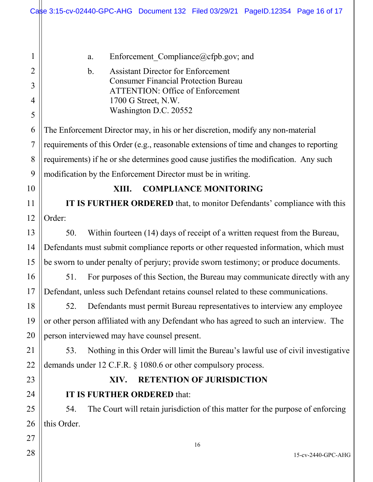16 15-cv-2440-GPC-AHG 1 2 3 4 5 6 7 8 9 10 11 12 13 14 15 16 17 18 19 20 21 22 23 24 25 26 27 28 a. Enforcement Compliance  $(a)$ cfpb.gov; and b. Assistant Director for Enforcement Consumer Financial Protection Bureau ATTENTION: Office of Enforcement 1700 G Street, N.W. Washington D.C. 20552 The Enforcement Director may, in his or her discretion, modify any non-material requirements of this Order (e.g., reasonable extensions of time and changes to reporting requirements) if he or she determines good cause justifies the modification. Any such modification by the Enforcement Director must be in writing. **XIII. COMPLIANCE MONITORING IT IS FURTHER ORDERED** that, to monitor Defendants' compliance with this Order: 50. Within fourteen (14) days of receipt of a written request from the Bureau, Defendants must submit compliance reports or other requested information, which must be sworn to under penalty of perjury; provide sworn testimony; or produce documents. 51. For purposes of this Section, the Bureau may communicate directly with any Defendant, unless such Defendant retains counsel related to these communications. 52. Defendants must permit Bureau representatives to interview any employee or other person affiliated with any Defendant who has agreed to such an interview. The person interviewed may have counsel present. 53. Nothing in this Order will limit the Bureau's lawful use of civil investigative demands under 12 C.F.R. § 1080.6 or other compulsory process. **XIV. RETENTION OF JURISDICTION IT IS FURTHER ORDERED** that: 54. The Court will retain jurisdiction of this matter for the purpose of enforcing this Order. Case 3:15-cv-02440-GPC-AHG Document 132 Filed 03/29/21 PageID.12354 Page 16 of 17